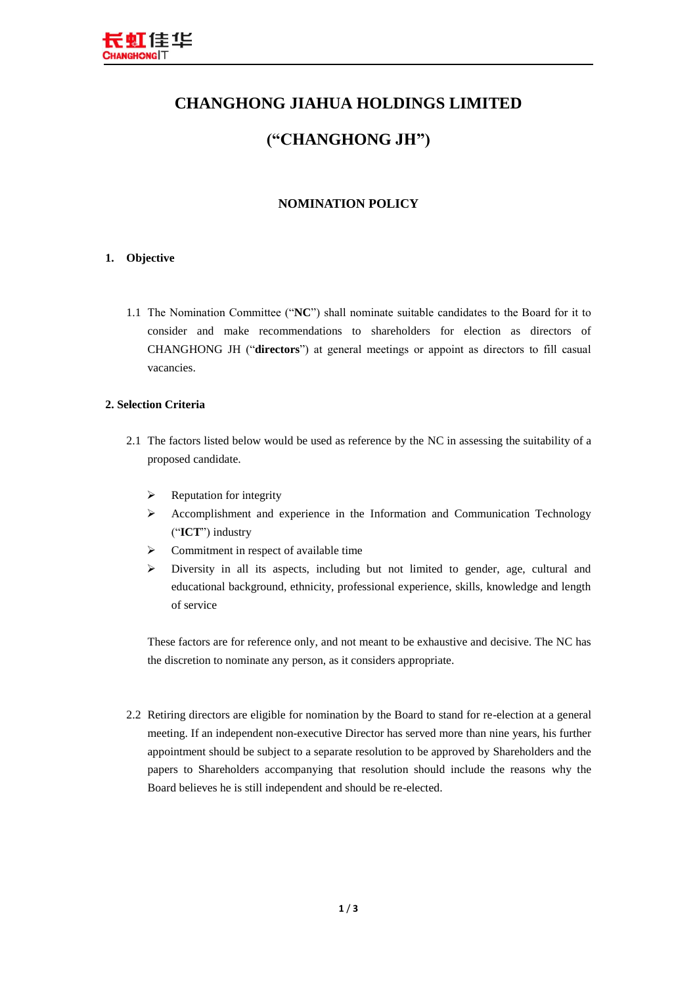

# **CHANGHONG JIAHUA HOLDINGS LIMITED**

# **("CHANGHONG JH")**

## **NOMINATION POLICY**

### **1. Objective**

1.1 The Nomination Committee ("**NC**") shall nominate suitable candidates to the Board for it to consider and make recommendations to shareholders for election as directors of CHANGHONG JH ("**directors**") at general meetings or appoint as directors to fill casual vacancies.

#### **2. Selection Criteria**

- 2.1 The factors listed below would be used as reference by the NC in assessing the suitability of a proposed candidate.
	- $\triangleright$  Reputation for integrity
	- $\triangleright$  Accomplishment and experience in the Information and Communication Technology ("**ICT**") industry
	- $\triangleright$  Commitment in respect of available time
	- $\triangleright$  Diversity in all its aspects, including but not limited to gender, age, cultural and educational background, ethnicity, professional experience, skills, knowledge and length of service

These factors are for reference only, and not meant to be exhaustive and decisive. The NC has the discretion to nominate any person, as it considers appropriate.

2.2 Retiring directors are eligible for nomination by the Board to stand for re-election at a general meeting. If an independent non-executive Director has served more than nine years, his further appointment should be subject to a separate resolution to be approved by Shareholders and the papers to Shareholders accompanying that resolution should include the reasons why the Board believes he is still independent and should be re-elected.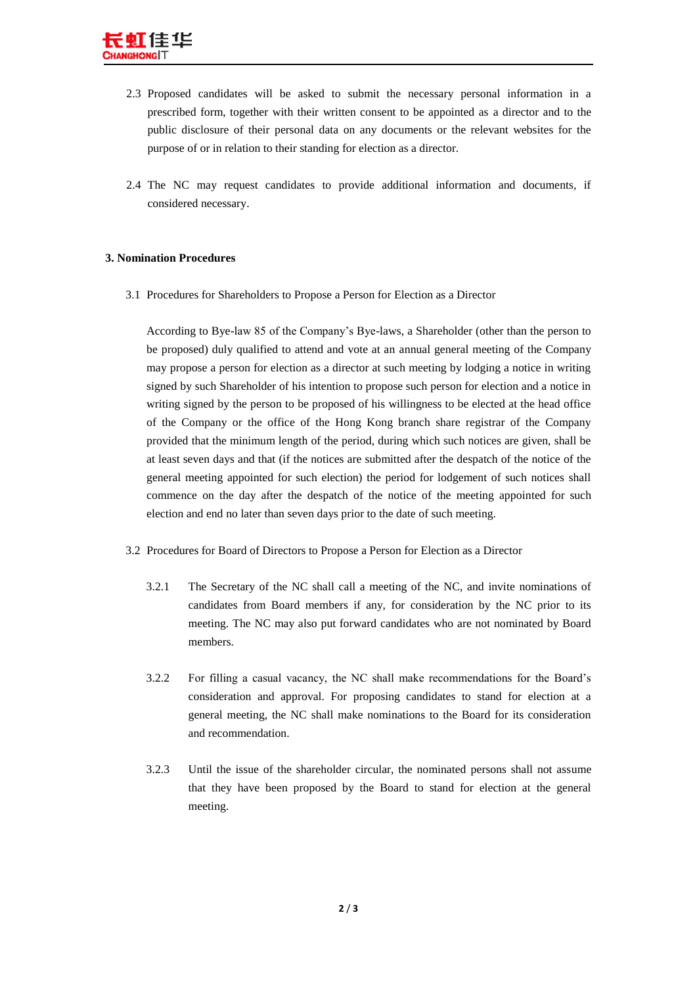- 2.3 Proposed candidates will be asked to submit the necessary personal information in a prescribed form, together with their written consent to be appointed as a director and to the public disclosure of their personal data on any documents or the relevant websites for the purpose of or in relation to their standing for election as a director.
- 2.4 The NC may request candidates to provide additional information and documents, if considered necessary.

#### **3. Nomination Procedures**

3.1 Procedures for Shareholders to Propose a Person for Election as a Director

According to Bye-law 85 of the Company's Bye-laws, a Shareholder (other than the person to be proposed) duly qualified to attend and vote at an annual general meeting of the Company may propose a person for election as a director at such meeting by lodging a notice in writing signed by such Shareholder of his intention to propose such person for election and a notice in writing signed by the person to be proposed of his willingness to be elected at the head office of the Company or the office of the Hong Kong branch share registrar of the Company provided that the minimum length of the period, during which such notices are given, shall be at least seven days and that (if the notices are submitted after the despatch of the notice of the general meeting appointed for such election) the period for lodgement of such notices shall commence on the day after the despatch of the notice of the meeting appointed for such election and end no later than seven days prior to the date of such meeting.

- 3.2 Procedures for Board of Directors to Propose a Person for Election as a Director
	- 3.2.1 The Secretary of the NC shall call a meeting of the NC, and invite nominations of candidates from Board members if any, for consideration by the NC prior to its meeting. The NC may also put forward candidates who are not nominated by Board members.
	- 3.2.2 For filling a casual vacancy, the NC shall make recommendations for the Board's consideration and approval. For proposing candidates to stand for election at a general meeting, the NC shall make nominations to the Board for its consideration and recommendation.
	- 3.2.3 Until the issue of the shareholder circular, the nominated persons shall not assume that they have been proposed by the Board to stand for election at the general meeting.